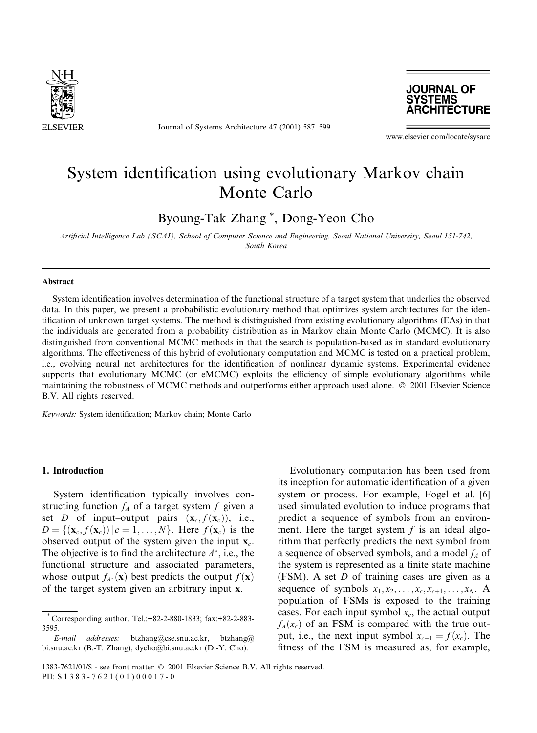

Journal of Systems Architecture 47 (2001) 587-599



www.elsevier.com/locate/sysarc

# System identification using evolutionary Markov chain Monte Carlo

Byoung-Tak Zhang<sup>\*</sup>, Dong-Yeon Cho

Artificial Intelligence Lab (SCAI), School of Computer Science and Engineering, Seoul National University, Seoul 151-742, South Korea

## **Abstract**

System identification involves determination of the functional structure of a target system that underlies the observed data. In this paper, we present a probabilistic evolutionary method that optimizes system architectures for the identification of unknown target systems. The method is distinguished from existing evolutionary algorithms (EAs) in that the individuals are generated from a probability distribution as in Markov chain Monte Carlo (MCMC). It is also distinguished from conventional MCMC methods in that the search is population-based as in standard evolutionary algorithms. The effectiveness of this hybrid of evolutionary computation and MCMC is tested on a practical problem, i.e., evolving neural net architectures for the identification of nonlinear dynamic systems. Experimental evidence supports that evolutionary MCMC (or eMCMC) exploits the efficiency of simple evolutionary algorithms while maintaining the robustness of MCMC methods and outperforms either approach used alone. © 2001 Elsevier Science B.V. All rights reserved.

Keywords: System identification; Markov chain; Monte Carlo

#### 1. Introduction

System identification typically involves constructing function  $f_A$  of a target system f given a set D of input-output pairs  $(\mathbf{x}_c, f(\mathbf{x}_c))$ , i.e.,  $D = \{(\mathbf{x}_c, f(\mathbf{x}_c)) | c = 1, \dots, N\}$ . Here  $f(\mathbf{x}_c)$  is the observed output of the system given the input  $\mathbf{x}_c$ . The objective is to find the architecture  $A^*$ , i.e., the functional structure and associated parameters, whose output  $f_{A^*}(\mathbf{x})$  best predicts the output  $f(\mathbf{x})$ of the target system given an arbitrary input x.

Evolutionary computation has been used from its inception for automatic identification of a given system or process. For example, Fogel et al. [6] used simulated evolution to induce programs that predict a sequence of symbols from an environment. Here the target system  $f$  is an ideal algorithm that perfectly predicts the next symbol from a sequence of observed symbols, and a model  $f_A$  of the system is represented as a finite state machine (FSM). A set  $D$  of training cases are given as a sequence of symbols  $x_1, x_2, \ldots, x_c, x_{c+1}, \ldots, x_N$ . A population of FSMs is exposed to the training cases. For each input symbol  $x_c$ , the actual output  $f_A(x_c)$  of an FSM is compared with the true output, i.e., the next input symbol  $x_{c+1} = f(x_c)$ . The fitness of the FSM is measured as, for example,

Corresponding author. Tel.: +82-2-880-1833; fax: +82-2-883-3595

E-mail addresses: btzhang@cse.snu.ac.kr, btzhang@ bi.snu.ac.kr (B.-T. Zhang), dycho@bi.snu.ac.kr (D.-Y. Cho).

<sup>1383-7621/01/\$ -</sup> see front matter © 2001 Elsevier Science B.V. All rights reserved. PII: S 1 3 8 3 - 7 6 2 1 (0 1) 0 0 0 1 7 - 0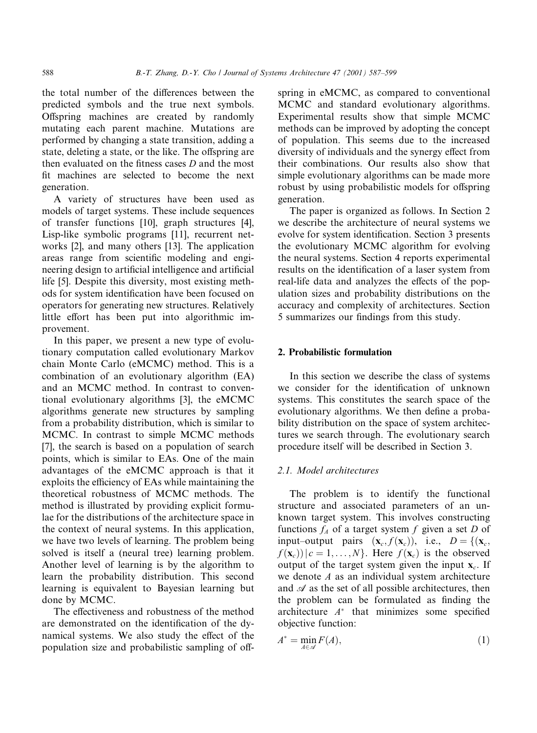the total number of the differences between the predicted symbols and the true next symbols. Offspring machines are created by randomly mutating each parent machine. Mutations are performed by changing a state transition, adding a state, deleting a state, or the like. The offspring are then evaluated on the fitness cases D and the most fit machines are selected to become the next generation.

A variety of structures have been used as models of target systems. These include sequences of transfer functions [10], graph structures [4], Lisp-like symbolic programs [11], recurrent networks [2], and many others [13]. The application areas range from scientific modeling and engineering design to artificial intelligence and artificial life [5]. Despite this diversity, most existing methods for system identification have been focused on operators for generating new structures. Relatively little effort has been put into algorithmic improvement.

In this paper, we present a new type of evolutionary computation called evolutionary Markov chain Monte Carlo (eMCMC) method. This is a combination of an evolutionary algorithm (EA) and an MCMC method. In contrast to conventional evolutionary algorithms [3], the eMCMC algorithms generate new structures by sampling from a probability distribution, which is similar to MCMC. In contrast to simple MCMC methods [7], the search is based on a population of search points, which is similar to EAs. One of the main advantages of the eMCMC approach is that it exploits the efficiency of EAs while maintaining the theoretical robustness of MCMC methods. The method is illustrated by providing explicit formulae for the distributions of the architecture space in the context of neural systems. In this application, we have two levels of learning. The problem being solved is itself a (neural tree) learning problem. Another level of learning is by the algorithm to learn the probability distribution. This second learning is equivalent to Bayesian learning but done by MCMC.

The effectiveness and robustness of the method are demonstrated on the identification of the dynamical systems. We also study the effect of the population size and probabilistic sampling of offspring in eMCMC, as compared to conventional MCMC and standard evolutionary algorithms. Experimental results show that simple MCMC methods can be improved by adopting the concept of population. This seems due to the increased diversity of individuals and the synergy effect from their combinations. Our results also show that simple evolutionary algorithms can be made more robust by using probabilistic models for offspring generation.

The paper is organized as follows. In Section 2 we describe the architecture of neural systems we evolve for system identification. Section 3 presents the evolutionary MCMC algorithm for evolving the neural systems. Section 4 reports experimental results on the identification of a laser system from real-life data and analyzes the effects of the population sizes and probability distributions on the accuracy and complexity of architectures. Section 5 summarizes our findings from this study.

# 2. Probabilistic formulation

In this section we describe the class of systems we consider for the identification of unknown systems. This constitutes the search space of the evolutionary algorithms. We then define a probability distribution on the space of system architectures we search through. The evolutionary search procedure itself will be described in Section 3.

#### 2.1. Model architectures

The problem is to identify the functional structure and associated parameters of an unknown target system. This involves constructing functions  $f_A$  of a target system f given a set D of input–output pairs  $(\mathbf{x}_c, f(\mathbf{x}_c))$ , i.e.,  $D = \{(\mathbf{x}_c,$  $f(\mathbf{x}_c)$ )  $|c = 1,..., N$ . Here  $f(\mathbf{x}_c)$  is the observed output of the target system given the input  $x_c$ . If we denote  $A$  as an individual system architecture and  $\mathscr A$  as the set of all possible architectures, then the problem can be formulated as finding the architecture  $A^*$  that minimizes some specified objective function:

$$
A^* = \min_{A \in \mathcal{A}} F(A), \tag{1}
$$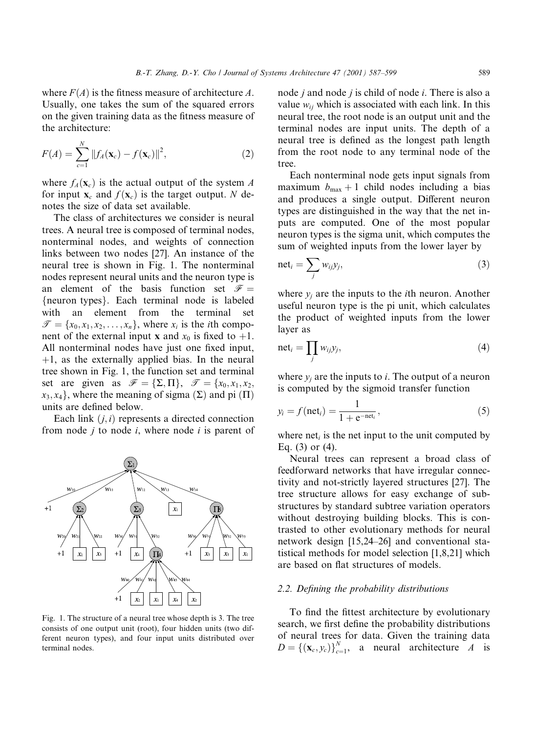where  $F(A)$  is the fitness measure of architecture A. Usually, one takes the sum of the squared errors on the given training data as the fitness measure of the architecture:

$$
F(A) = \sum_{c=1}^{N} ||f_A(\mathbf{x}_c) - f(\mathbf{x}_c)||^2,
$$
 (2)

where  $f_A(\mathbf{x}_c)$  is the actual output of the system A for input  $\mathbf{x}_c$  and  $f(\mathbf{x}_c)$  is the target output. N denotes the size of data set available.

The class of architectures we consider is neural trees. A neural tree is composed of terminal nodes, nonterminal nodes, and weights of connection links between two nodes [27]. An instance of the neural tree is shown in Fig. 1. The nonterminal nodes represent neural units and the neuron type is an element of the basis function set  $\mathcal{F} =$ {neuron types}. Each terminal node is labeled with an element from the terminal set  $\mathcal{T} = \{x_0, x_1, x_2, \dots, x_n\}$ , where  $x_i$  is the *i*th component of the external input **x** and  $x_0$  is fixed to +1. All nonterminal nodes have just one fixed input,  $+1$ , as the externally applied bias. In the neural tree shown in Fig. 1, the function set and terminal set are given as  $\mathscr{F} = {\Sigma, \Pi}, \mathscr{T} = \{x_0, x_1, x_2, \Pi\}$  $x_3, x_4$ , where the meaning of sigma  $(\Sigma)$  and pi  $(\Pi)$ units are defined below.

Each link  $(i, i)$  represents a directed connection from node *i* to node *i*, where node *i* is parent of



Fig. 1. The structure of a neural tree whose depth is 3. The tree consists of one output unit (root), four hidden units (two different neuron types), and four input units distributed over terminal nodes.

node *j* and node *j* is child of node *i*. There is also a value  $w_{ii}$  which is associated with each link. In this neural tree, the root node is an output unit and the terminal nodes are input units. The depth of a neural tree is defined as the longest path length from the root node to any terminal node of the tree.

Each nonterminal node gets input signals from maximum  $b_{\text{max}} + 1$  child nodes including a bias and produces a single output. Different neuron types are distinguished in the way that the net inputs are computed. One of the most popular neuron types is the sigma unit, which computes the sum of weighted inputs from the lower layer by

$$
net_i = \sum_j w_{ij} y_j,
$$
\n(3)

where  $y_i$  are the inputs to the *i*th neuron. Another useful neuron type is the pi unit, which calculates the product of weighted inputs from the lower laver as

$$
net_i = \prod_j w_{ij} y_j,
$$
\n(4)

where  $y_i$  are the inputs to *i*. The output of a neuron is computed by the sigmoid transfer function

$$
y_i = f(\text{net}_i) = \frac{1}{1 + e^{-\text{net}_i}},\tag{5}
$$

where  $net_i$  is the net input to the unit computed by Eq.  $(3)$  or  $(4)$ .

Neural trees can represent a broad class of feedforward networks that have irregular connectivity and not-strictly layered structures [27]. The tree structure allows for easy exchange of substructures by standard subtree variation operators without destroying building blocks. This is contrasted to other evolutionary methods for neural network design [15,24-26] and conventional statistical methods for model selection [1,8,21] which are based on flat structures of models.

## 2.2. Defining the probability distributions

To find the fittest architecture by evolutionary search, we first define the probability distributions of neural trees for data. Given the training data  $D = \{(\mathbf{x}_c, y_c)\}_{c=1}^N$ , a neural architecture *A* is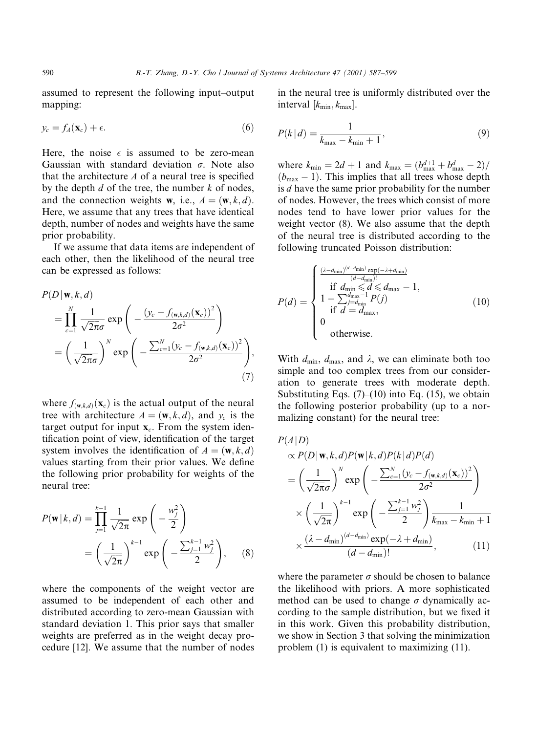assumed to represent the following input-output mapping:

$$
y_c = f_A(\mathbf{x}_c) + \epsilon. \tag{6}
$$

Here, the noise  $\epsilon$  is assumed to be zero-mean Gaussian with standard deviation  $\sigma$ . Note also that the architecture  $A$  of a neural tree is specified by the depth  $d$  of the tree, the number  $k$  of nodes, and the connection weights **w**, i.e.,  $A = (\mathbf{w}, k, d)$ . Here, we assume that any trees that have identical depth, number of nodes and weights have the same prior probability.

If we assume that data items are independent of each other, then the likelihood of the neural tree can be expressed as follows:

$$
P(D | \mathbf{w}, k, d)
$$
  
= 
$$
\prod_{c=1}^{N} \frac{1}{\sqrt{2\pi}\sigma} \exp\left(-\frac{(y_c - f_{(\mathbf{w}, k, d)}(\mathbf{x}_c))^2}{2\sigma^2}\right)
$$
  
= 
$$
\left(\frac{1}{\sqrt{2\pi}\sigma}\right)^N \exp\left(-\frac{\sum_{c=1}^{N} (y_c - f_{(\mathbf{w}, k, d)}(\mathbf{x}_c))^2}{2\sigma^2}\right),
$$
(7)

where  $f_{(\mathbf{w},k,d)}(\mathbf{x}_c)$  is the actual output of the neural tree with architecture  $A = (\mathbf{w}, k, d)$ , and  $y_c$  is the target output for input  $x_c$ . From the system identification point of view, identification of the target system involves the identification of  $A = (\mathbf{w}, k, d)$ values starting from their prior values. We define the following prior probability for weights of the neural tree:

$$
P(\mathbf{w} | k, d) = \prod_{j=1}^{k-1} \frac{1}{\sqrt{2\pi}} \exp\left(-\frac{w_j^2}{2}\right)
$$
  
=  $\left(\frac{1}{\sqrt{2\pi}}\right)^{k-1} \exp\left(-\frac{\sum_{j=1}^{k-1} w_j^2}{2}\right)$ , (8)

where the components of the weight vector are assumed to be independent of each other and distributed according to zero-mean Gaussian with standard deviation 1. This prior says that smaller weights are preferred as in the weight decay procedure [12]. We assume that the number of nodes

in the neural tree is uniformly distributed over the interval  $[k_{\min}, k_{\max}]$ .

$$
P(k|d) = \frac{1}{k_{\text{max}} - k_{\text{min}} + 1},
$$
\n(9)

where  $k_{\min} = 2d + 1$  and  $k_{\max} = (b_{\max}^{d+1} + b_{\max}^d - 2)$ /  $(b_{\text{max}} - 1)$ . This implies that all trees whose depth is d have the same prior probability for the number of nodes. However, the trees which consist of more nodes tend to have lower prior values for the weight vector (8). We also assume that the depth of the neural tree is distributed according to the following truncated Poisson distribution:

$$
P(d) = \begin{cases} \frac{(\lambda - d_{\min})^{(d - d_{\min})} \exp(-\lambda + d_{\min})}{(d - d_{\min})!} \\ \text{if } d_{\min} \le d \le d_{\max} - 1, \\ 1 - \sum_{j=d_{\min}}^{d_{\max}-1} P(j) \\ \text{if } d = d_{\max}, \\ 0 \\ \text{otherwise.} \end{cases} (10)
$$

With  $d_{\min}$ ,  $d_{\max}$ , and  $\lambda$ , we can eliminate both too simple and too complex trees from our consideration to generate trees with moderate depth. Substituting Eqs.  $(7)$ – $(10)$  into Eq.  $(15)$ , we obtain the following posterior probability (up to a normalizing constant) for the neural tree:

$$
P(A|D)
$$
  
\n
$$
\propto P(D|\mathbf{w}, k, d)P(\mathbf{w}|k, d)P(k|d)P(d)
$$
  
\n
$$
= \left(\frac{1}{\sqrt{2\pi}\sigma}\right)^{N} \exp\left(-\frac{\sum_{c=1}^{N} (\gamma_c - f(\mathbf{w}, k, d)}(\mathbf{x}_c))^2}{2\sigma^2}\right)
$$
  
\n
$$
\times \left(\frac{1}{\sqrt{2\pi}}\right)^{k-1} \exp\left(-\frac{\sum_{j=1}^{k-1} w_j^2}{2}\right) \frac{1}{k_{\max} - k_{\min} + 1}
$$
  
\n
$$
\times \frac{(\lambda - d_{\min})^{(d - d_{\min})} \exp(-\lambda + d_{\min})}{(d - d_{\min})!},
$$
\n(11)

where the parameter  $\sigma$  should be chosen to balance the likelihood with priors. A more sophisticated method can be used to change  $\sigma$  dynamically according to the sample distribution, but we fixed it in this work. Given this probability distribution, we show in Section 3 that solving the minimization problem  $(1)$  is equivalent to maximizing  $(11)$ .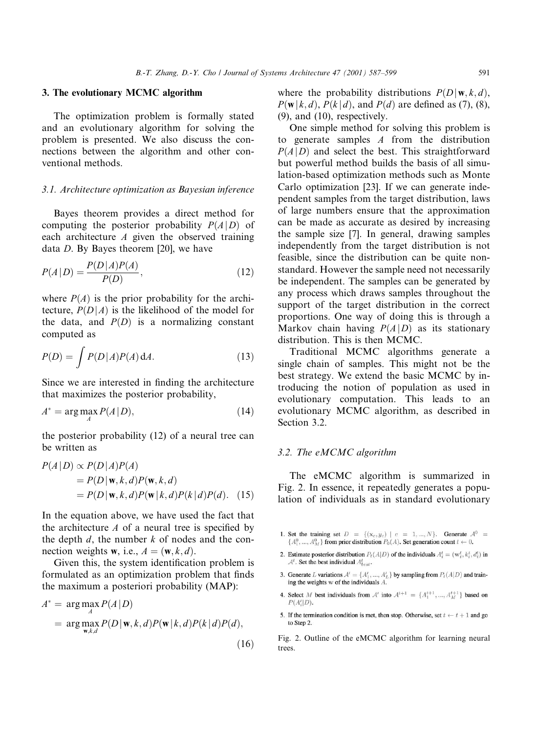#### 3. The evolutionary MCMC algorithm

The optimization problem is formally stated and an evolutionary algorithm for solving the problem is presented. We also discuss the connections between the algorithm and other conventional methods.

#### 3.1. Architecture optimization as Bayesian inference

Bayes theorem provides a direct method for computing the posterior probability  $P(A|D)$  of each architecture  $A$  given the observed training data D. By Bayes theorem [20], we have

$$
P(A|D) = \frac{P(D|A)P(A)}{P(D)},
$$
\n(12)

where  $P(A)$  is the prior probability for the architecture,  $P(D|A)$  is the likelihood of the model for the data, and  $P(D)$  is a normalizing constant computed as

$$
P(D) = \int P(D|A)P(A) \, \mathrm{d}A. \tag{13}
$$

Since we are interested in finding the architecture that maximizes the posterior probability,

$$
A^* = \arg\max_{A} P(A|D),\tag{14}
$$

the posterior probability (12) of a neural tree can be written as

 $2.11 - 1.1$ 

$$
P(A|D) \propto P(D|A)P(A)
$$
  
=  $P(D|\mathbf{w}, k, d)P(\mathbf{w}, k, d)$   
=  $P(D|\mathbf{w}, k, d)P(\mathbf{w}|k, d)P(k|d)P(d)$ . (15)

In the equation above, we have used the fact that the architecture  $A$  of a neural tree is specified by the depth  $d$ , the number  $k$  of nodes and the connection weights **w**, i.e.,  $A = (\mathbf{w}, k, d)$ .

Given this, the system identification problem is formulated as an optimization problem that finds the maximum a posteriori probability (MAP):

$$
A^* = \arg\max_{A} P(A|D)
$$
  
= 
$$
\arg\max_{\mathbf{w},k,d} P(D|\mathbf{w},k,d)P(\mathbf{w}|k,d)P(k|d)P(d),
$$
 (16)

where the probability distributions  $P(D | \mathbf{w}, k, d)$ ,  $P(\mathbf{w} | k, d)$ ,  $P(k | d)$ , and  $P(d)$  are defined as (7), (8),  $(9)$ , and  $(10)$ , respectively.

One simple method for solving this problem is to generate samples  $A$  from the distribution  $P(A|D)$  and select the best. This straightforward but powerful method builds the basis of all simulation-based optimization methods such as Monte Carlo optimization [23]. If we can generate independent samples from the target distribution, laws of large numbers ensure that the approximation can be made as accurate as desired by increasing the sample size [7]. In general, drawing samples independently from the target distribution is not feasible, since the distribution can be quite nonstandard. However the sample need not necessarily be independent. The samples can be generated by any process which draws samples throughout the support of the target distribution in the correct proportions. One way of doing this is through a Markov chain having  $P(A|D)$  as its stationary distribution. This is then MCMC.

Traditional MCMC algorithms generate a single chain of samples. This might not be the best strategy. We extend the basic MCMC by introducing the notion of population as used in evolutionary computation. This leads to an evolutionary MCMC algorithm, as described in Section 3.2.

#### 3.2. The eMCMC algorithm

The eMCMC algorithm is summarized in Fig. 2. In essence, it repeatedly generates a population of individuals as in standard evolutionary

- 1. Set the training set  $D = \{(\mathbf{x}_c, y_c) | c = 1, ..., N\}$ . Generate  $\mathcal{A}^0 =$  ${A_1^0, ..., A_M^0}$  from prior distribution  $P_0(A)$ . Set generation count  $t \leftarrow 0$ .
- 2. Estimate posterior distribution  $P_t(A|D)$  of the individuals  $A_i^t = (\mathbf{w}_i^t, k_i^t, d_i^t)$  in  $A^t$ . Set the best individual  $A^t_{best}$ .
- 3. Generate L variations  $A' = \{A'_1, ..., A'_L\}$  by sampling from  $P_t(A|D)$  and training the weights w of the individuals A.
- 4. Select M best individuals from A' into  $A^{t+1} = \{A_1^{t+1},..., A_M^{t+1}\}$  based on  $P(A_i'|D)$ .
- 5. If the termination condition is met, then stop. Otherwise, set  $t \leftarrow t + 1$  and go to Step 2.

Fig. 2. Outline of the eMCMC algorithm for learning neural trees.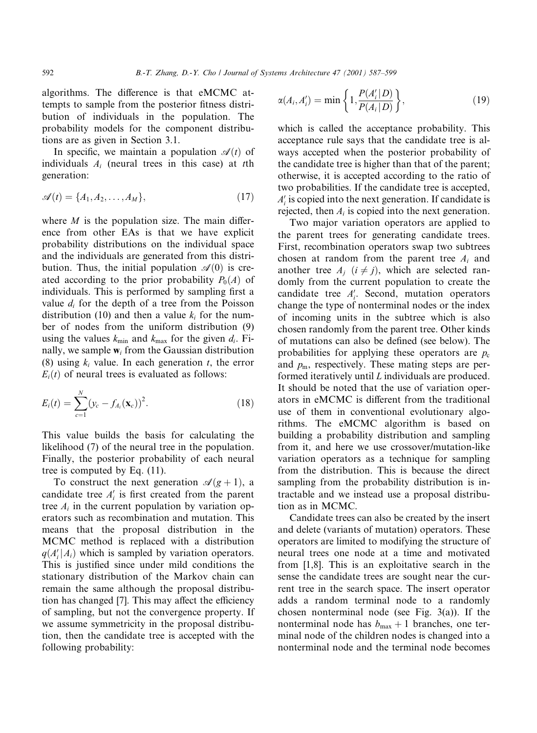algorithms. The difference is that eMCMC attempts to sample from the posterior fitness distribution of individuals in the population. The probability models for the component distributions are as given in Section 3.1.

In specific, we maintain a population  $\mathcal{A}(t)$  of individuals  $A_i$  (neural trees in this case) at the generation:

$$
\mathscr{A}(t) = \{A_1, A_2, \dots, A_M\},\tag{17}
$$

where  $M$  is the population size. The main difference from other EAs is that we have explicit probability distributions on the individual space and the individuals are generated from this distribution. Thus, the initial population  $\mathcal{A}(0)$  is created according to the prior probability  $P_0(A)$  of individuals. This is performed by sampling first a value  $d_i$  for the depth of a tree from the Poisson distribution (10) and then a value  $k_i$  for the number of nodes from the uniform distribution (9) using the values  $k_{\min}$  and  $k_{\max}$  for the given  $d_i$ . Finally, we sample  $w_i$  from the Gaussian distribution (8) using  $k_i$  value. In each generation t, the error  $E_i(t)$  of neural trees is evaluated as follows:

$$
E_i(t) = \sum_{c=1}^{N} (y_c - f_{A_i}(\mathbf{x}_c))^2.
$$
 (18)

This value builds the basis for calculating the likelihood (7) of the neural tree in the population. Finally, the posterior probability of each neural tree is computed by Eq.  $(11)$ .

To construct the next generation  $\mathcal{A}(g+1)$ , a candidate tree  $A'_i$  is first created from the parent tree  $A_i$  in the current population by variation operators such as recombination and mutation. This means that the proposal distribution in the MCMC method is replaced with a distribution  $q(A_i'|A_i)$  which is sampled by variation operators. This is justified since under mild conditions the stationary distribution of the Markov chain can remain the same although the proposal distribution has changed [7]. This may affect the efficiency of sampling, but not the convergence property. If we assume symmetricity in the proposal distribution, then the candidate tree is accepted with the following probability:

$$
\alpha(A_i, A'_i) = \min\left\{1, \frac{P(A'_i|D)}{P(A_i|D)}\right\},\tag{19}
$$

which is called the acceptance probability. This acceptance rule says that the candidate tree is always accepted when the posterior probability of the candidate tree is higher than that of the parent; otherwise, it is accepted according to the ratio of two probabilities. If the candidate tree is accepted,  $A'$  is copied into the next generation. If candidate is rejected, then  $A_i$  is copied into the next generation.

Two major variation operators are applied to the parent trees for generating candidate trees. First, recombination operators swap two subtrees chosen at random from the parent tree  $A_i$  and another tree  $A_i$   $(i \neq j)$ , which are selected randomly from the current population to create the candidate tree  $A'_i$ . Second, mutation operators change the type of nonterminal nodes or the index of incoming units in the subtree which is also chosen randomly from the parent tree. Other kinds of mutations can also be defined (see below). The probabilities for applying these operators are  $p_c$ and  $p_m$ , respectively. These mating steps are performed iteratively until  $L$  individuals are produced. It should be noted that the use of variation operators in eMCMC is different from the traditional use of them in conventional evolutionary algorithms. The eMCMC algorithm is based on building a probability distribution and sampling from it, and here we use crossover/mutation-like variation operators as a technique for sampling from the distribution. This is because the direct sampling from the probability distribution is intractable and we instead use a proposal distribution as in MCMC.

Candidate trees can also be created by the insert and delete (variants of mutation) operators. These operators are limited to modifying the structure of neural trees one node at a time and motivated from  $[1,8]$ . This is an exploitative search in the sense the candidate trees are sought near the current tree in the search space. The insert operator adds a random terminal node to a randomly chosen nonterminal node (see Fig.  $3(a)$ ). If the nonterminal node has  $b_{\text{max}} + 1$  branches, one terminal node of the children nodes is changed into a nonterminal node and the terminal node becomes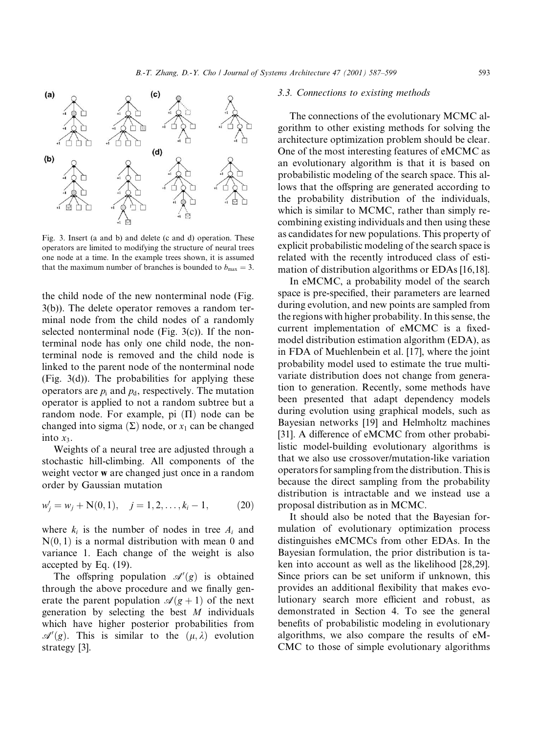

Fig. 3. Insert (a and b) and delete (c and d) operation. These operators are limited to modifying the structure of neural trees one node at a time. In the example trees shown, it is assumed that the maximum number of branches is bounded to  $b_{\text{max}} = 3$ .

the child node of the new nonterminal node (Fig.  $3(b)$ ). The delete operator removes a random terminal node from the child nodes of a randomly selected nonterminal node (Fig.  $3(c)$ ). If the nonterminal node has only one child node, the nonterminal node is removed and the child node is linked to the parent node of the nonterminal node (Fig.  $3(d)$ ). The probabilities for applying these operators are  $p_i$  and  $p_d$ , respectively. The mutation operator is applied to not a random subtree but a random node. For example, pi  $(\Pi)$  node can be changed into sigma  $(\Sigma)$  node, or  $x_1$  can be changed into  $x_3$ .

Weights of a neural tree are adjusted through a stochastic hill-climbing. All components of the weight vector w are changed just once in a random order by Gaussian mutation

$$
w'_{i} = w_{i} + N(0, 1), \quad j = 1, 2, \dots, k_{i} - 1,
$$
 (20)

where  $k_i$  is the number of nodes in tree  $A_i$  and  $N(0, 1)$  is a normal distribution with mean 0 and variance 1. Each change of the weight is also accepted by Eq. (19).

The offspring population  $\mathcal{A}'(g)$  is obtained through the above procedure and we finally generate the parent population  $\mathcal{A}(g + 1)$  of the next generation by selecting the best  $M$  individuals which have higher posterior probabilities from  $\mathscr{A}'(g)$ . This is similar to the  $(\mu, \lambda)$  evolution strategy [3].

#### 3.3. Connections to existing methods

The connections of the evolutionary MCMC algorithm to other existing methods for solving the architecture optimization problem should be clear. One of the most interesting features of eMCMC as an evolutionary algorithm is that it is based on probabilistic modeling of the search space. This allows that the offspring are generated according to the probability distribution of the individuals, which is similar to MCMC, rather than simply recombining existing individuals and then using these as candidates for new populations. This property of explicit probabilistic modeling of the search space is related with the recently introduced class of estimation of distribution algorithms or EDAs [16,18].

In eMCMC, a probability model of the search space is pre-specified, their parameters are learned during evolution, and new points are sampled from the regions with higher probability. In this sense, the current implementation of eMCMC is a fixedmodel distribution estimation algorithm (EDA), as in FDA of Muehlenbein et al. [17], where the joint probability model used to estimate the true multivariate distribution does not change from generation to generation. Recently, some methods have been presented that adapt dependency models during evolution using graphical models, such as Bayesian networks [19] and Helmholtz machines [31]. A difference of eMCMC from other probabilistic model-building evolutionary algorithms is that we also use crossover/mutation-like variation operators for sampling from the distribution. This is because the direct sampling from the probability distribution is intractable and we instead use a proposal distribution as in MCMC.

It should also be noted that the Bayesian formulation of evolutionary optimization process distinguishes eMCMCs from other EDAs. In the Bayesian formulation, the prior distribution is taken into account as well as the likelihood [28,29]. Since priors can be set uniform if unknown, this provides an additional flexibility that makes evolutionary search more efficient and robust, as demonstrated in Section 4. To see the general benefits of probabilistic modeling in evolutionary algorithms, we also compare the results of eM-CMC to those of simple evolutionary algorithms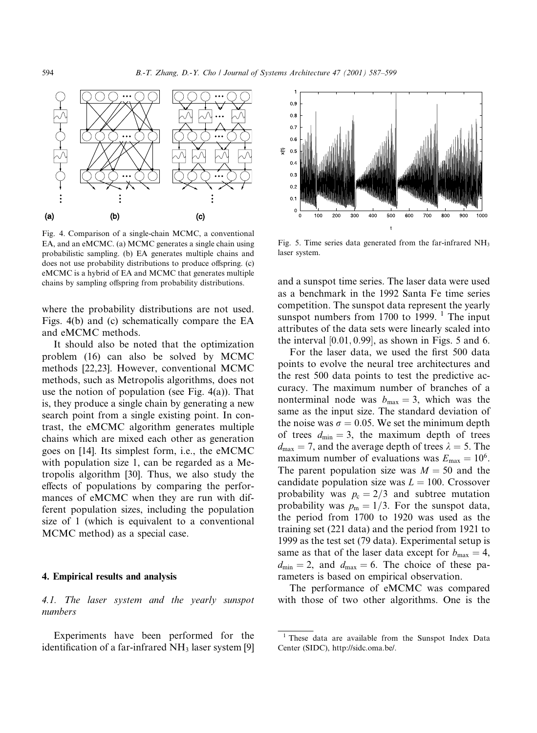

Fig. 4. Comparison of a single-chain MCMC, a conventional EA, and an eMCMC. (a) MCMC generates a single chain using probabilistic sampling. (b) EA generates multiple chains and does not use probability distributions to produce offspring. (c) eMCMC is a hybrid of EA and MCMC that generates multiple chains by sampling offspring from probability distributions.

where the probability distributions are not used. Figs. 4(b) and (c) schematically compare the EA and eMCMC methods.

It should also be noted that the optimization problem (16) can also be solved by MCMC methods [22,23]. However, conventional MCMC methods, such as Metropolis algorithms, does not use the notion of population (see Fig.  $4(a)$ ). That is, they produce a single chain by generating a new search point from a single existing point. In contrast, the eMCMC algorithm generates multiple chains which are mixed each other as generation goes on [14]. Its simplest form, i.e., the eMCMC with population size 1, can be regarded as a Metropolis algorithm [30]. Thus, we also study the effects of populations by comparing the performances of eMCMC when they are run with different population sizes, including the population size of 1 (which is equivalent to a conventional MCMC method) as a special case.

#### 4. Empirical results and analysis

4.1. The laser system and the yearly sunspot numbers

Experiments have been performed for the identification of a far-infrared  $NH<sub>3</sub>$  laser system [9]



Fig. 5. Time series data generated from the far-infrared  $NH<sub>3</sub>$ laser system.

and a sunspot time series. The laser data were used as a benchmark in the 1992 Santa Fe time series competition. The sunspot data represent the yearly sunspot numbers from 1700 to 1999.<sup>1</sup> The input attributes of the data sets were linearly scaled into the interval  $[0.01, 0.99]$ , as shown in Figs. 5 and 6.

For the laser data, we used the first 500 data points to evolve the neural tree architectures and the rest 500 data points to test the predictive accuracy. The maximum number of branches of a nonterminal node was  $b_{\text{max}} = 3$ , which was the same as the input size. The standard deviation of the noise was  $\sigma = 0.05$ . We set the minimum depth of trees  $d_{\min} = 3$ , the maximum depth of trees  $d_{\text{max}} = 7$ , and the average depth of trees  $\lambda = 5$ . The maximum number of evaluations was  $E_{\text{max}} = 10^6$ . The parent population size was  $M = 50$  and the candidate population size was  $L = 100$ . Crossover probability was  $p_c = 2/3$  and subtree mutation probability was  $p_m = 1/3$ . For the sunspot data, the period from 1700 to 1920 was used as the training set (221 data) and the period from 1921 to 1999 as the test set (79 data). Experimental setup is same as that of the laser data except for  $b_{\text{max}} = 4$ ,  $d_{\min} = 2$ , and  $d_{\max} = 6$ . The choice of these parameters is based on empirical observation.

The performance of eMCMC was compared with those of two other algorithms. One is the

<sup>&</sup>lt;sup>1</sup> These data are available from the Sunspot Index Data Center (SIDC), http://sidc.oma.be/.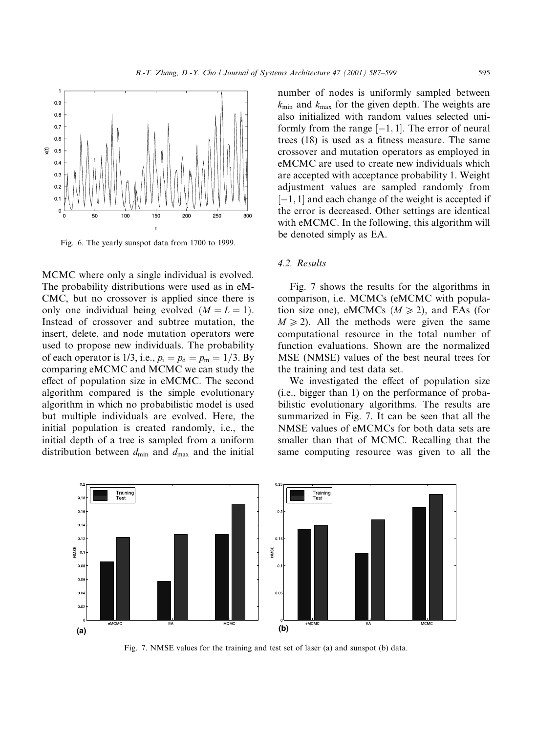

Fig. 6. The yearly sunspot data from 1700 to 1999.

MCMC where only a single individual is evolved. The probability distributions were used as in eM-CMC, but no crossover is applied since there is only one individual being evolved  $(M = L = 1)$ . Instead of crossover and subtree mutation, the insert, delete, and node mutation operators were used to propose new individuals. The probability of each operator is 1/3, i.e.,  $p_i = p_d = p_m = 1/3$ . By comparing eMCMC and MCMC we can study the effect of population size in eMCMC. The second algorithm compared is the simple evolutionary algorithm in which no probabilistic model is used but multiple individuals are evolved. Here, the initial population is created randomly, i.e., the initial depth of a tree is sampled from a uniform distribution between  $d_{\min}$  and  $d_{\max}$  and the initial

number of nodes is uniformly sampled between  $k_{\min}$  and  $k_{\max}$  for the given depth. The weights are also initialized with random values selected uniformly from the range  $[-1, 1]$ . The error of neural trees (18) is used as a fitness measure. The same crossover and mutation operators as employed in eMCMC are used to create new individuals which are accepted with acceptance probability 1. Weight adjustment values are sampled randomly from  $[-1, 1]$  and each change of the weight is accepted if the error is decreased. Other settings are identical with eMCMC. In the following, this algorithm will be denoted simply as EA.

## 4.2. Results

Fig. 7 shows the results for the algorithms in comparison, i.e. MCMCs (eMCMC with population size one), eMCMCs ( $M \ge 2$ ), and EAs (for  $M \ge 2$ ). All the methods were given the same computational resource in the total number of function evaluations. Shown are the normalized MSE (NMSE) values of the best neural trees for the training and test data set.

We investigated the effect of population size (i.e., bigger than 1) on the performance of probabilistic evolutionary algorithms. The results are summarized in Fig. 7. It can be seen that all the NMSE values of eMCMCs for both data sets are smaller than that of MCMC. Recalling that the same computing resource was given to all the



Fig. 7. NMSE values for the training and test set of laser (a) and sunspot (b) data.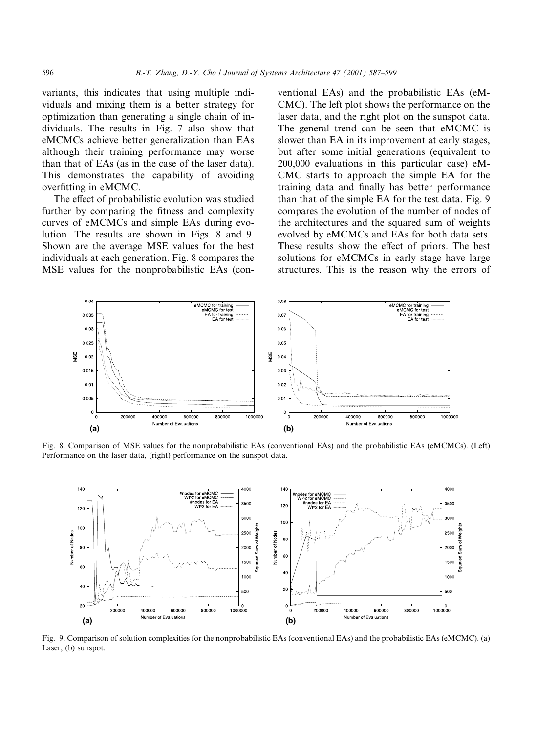variants, this indicates that using multiple individuals and mixing them is a better strategy for optimization than generating a single chain of individuals. The results in Fig. 7 also show that eMCMCs achieve better generalization than EAs although their training performance may worse than that of EAs (as in the case of the laser data). This demonstrates the capability of avoiding overfitting in eMCMC.

The effect of probabilistic evolution was studied further by comparing the fitness and complexity curves of eMCMCs and simple EAs during evolution. The results are shown in Figs. 8 and 9. Shown are the average MSE values for the best individuals at each generation. Fig. 8 compares the MSE values for the nonprobabilistic EAs (conventional EAs) and the probabilistic EAs (eM-CMC). The left plot shows the performance on the laser data, and the right plot on the sunspot data. The general trend can be seen that eMCMC is slower than EA in its improvement at early stages. but after some initial generations (equivalent to  $200,000$  evaluations in this particular case) eM-CMC starts to approach the simple EA for the training data and finally has better performance than that of the simple EA for the test data. Fig. 9 compares the evolution of the number of nodes of the architectures and the squared sum of weights evolved by eMCMCs and EAs for both data sets. These results show the effect of priors. The best solutions for eMCMCs in early stage have large structures. This is the reason why the errors of



Fig. 8. Comparison of MSE values for the nonprobabilistic EAs (conventional EAs) and the probabilistic EAs (eMCMCs). (Left) Performance on the laser data, (right) performance on the sunspot data.



Fig. 9. Comparison of solution complexities for the nonprobabilistic EAs (conventional EAs) and the probabilistic EAs (eMCMC). (a) Laser, (b) sunspot.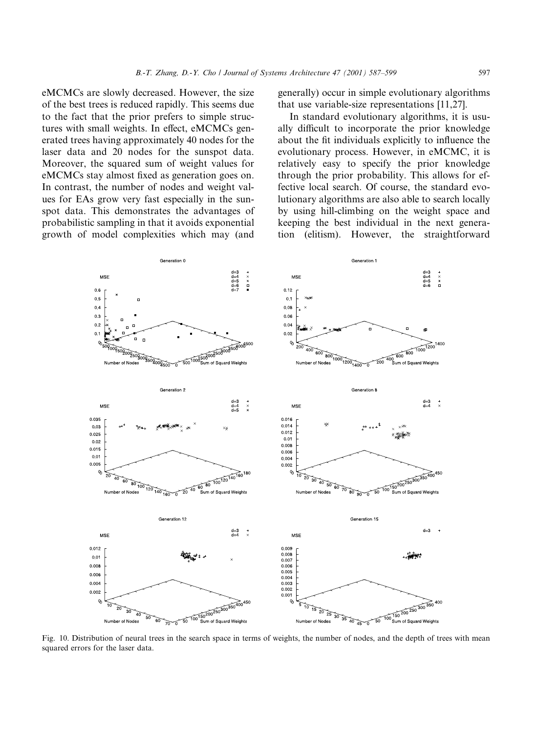eMCMCs are slowly decreased. However, the size of the best trees is reduced rapidly. This seems due to the fact that the prior prefers to simple structures with small weights. In effect, eMCMCs generated trees having approximately 40 nodes for the laser data and 20 nodes for the sunspot data. Moreover, the squared sum of weight values for eMCMCs stay almost fixed as generation goes on. In contrast, the number of nodes and weight values for EAs grow very fast especially in the sunspot data. This demonstrates the advantages of probabilistic sampling in that it avoids exponential growth of model complexities which may (and

generally) occur in simple evolutionary algorithms that use variable-size representations [11,27].

In standard evolutionary algorithms, it is usually difficult to incorporate the prior knowledge about the fit individuals explicitly to influence the evolutionary process. However, in eMCMC, it is relatively easy to specify the prior knowledge through the prior probability. This allows for effective local search. Of course, the standard evolutionary algorithms are also able to search locally by using hill-climbing on the weight space and keeping the best individual in the next generation (elitism). However, the straightforward



Fig. 10. Distribution of neural trees in the search space in terms of weights, the number of nodes, and the depth of trees with mean squared errors for the laser data.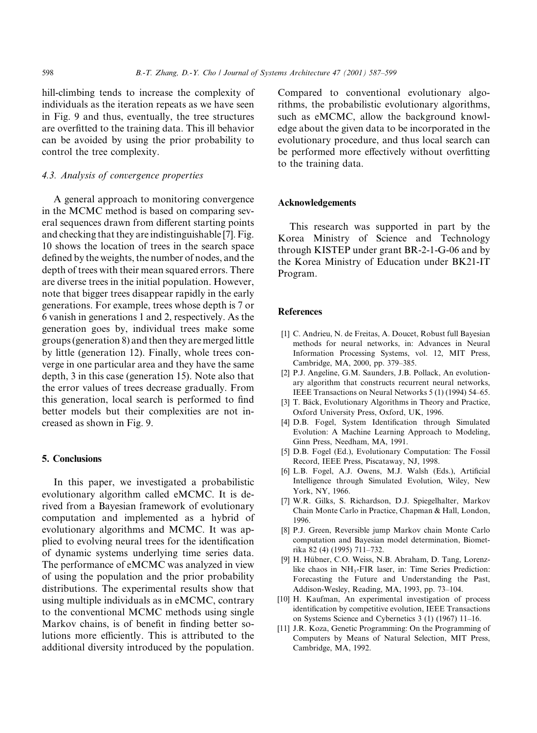hill-climbing tends to increase the complexity of individuals as the iteration repeats as we have seen in Fig. 9 and thus, eventually, the tree structures are overfitted to the training data. This ill behavior can be avoided by using the prior probability to control the tree complexity.

# 4.3. Analysis of convergence properties

A general approach to monitoring convergence in the MCMC method is based on comparing several sequences drawn from different starting points and checking that they are indistinguishable [7]. Fig. 10 shows the location of trees in the search space defined by the weights, the number of nodes, and the depth of trees with their mean squared errors. There are diverse trees in the initial population. However, note that bigger trees disappear rapidly in the early generations. For example, trees whose depth is 7 or 6 vanish in generations 1 and 2, respectively. As the generation goes by, individual trees make some groups (generation 8) and then they are merged little by little (generation 12). Finally, whole trees converge in one particular area and they have the same depth, 3 in this case (generation 15). Note also that the error values of trees decrease gradually. From this generation, local search is performed to find better models but their complexities are not increased as shown in Fig. 9.

#### **5. Conclusions**

In this paper, we investigated a probabilistic evolutionary algorithm called eMCMC. It is derived from a Bayesian framework of evolutionary computation and implemented as a hybrid of evolutionary algorithms and MCMC. It was applied to evolving neural trees for the identification of dynamic systems underlying time series data. The performance of eMCMC was analyzed in view of using the population and the prior probability distributions. The experimental results show that using multiple individuals as in eMCMC, contrary to the conventional MCMC methods using single Markov chains, is of benefit in finding better solutions more efficiently. This is attributed to the additional diversity introduced by the population.

Compared to conventional evolutionary algorithms, the probabilistic evolutionary algorithms, such as eMCMC, allow the background knowledge about the given data to be incorporated in the evolutionary procedure, and thus local search can be performed more effectively without overfitting to the training data.

#### **Acknowledgements**

This research was supported in part by the Korea Ministry of Science and Technology through KISTEP under grant BR-2-1-G-06 and by the Korea Ministry of Education under BK21-IT Program.

#### **References**

- [1] C. Andrieu, N. de Freitas, A. Doucet, Robust full Bayesian methods for neural networks, in: Advances in Neural Information Processing Systems, vol. 12, MIT Press, Cambridge, MA, 2000, pp. 379-385.
- [2] P.J. Angeline, G.M. Saunders, J.B. Pollack, An evolutionary algorithm that constructs recurrent neural networks, IEEE Transactions on Neural Networks 5 (1) (1994) 54–65.
- [3] T. Bäck, Evolutionary Algorithms in Theory and Practice, Oxford University Press, Oxford, UK, 1996.
- [4] D.B. Fogel, System Identification through Simulated Evolution: A Machine Learning Approach to Modeling, Ginn Press, Needham, MA, 1991.
- [5] D.B. Fogel (Ed.), Evolutionary Computation: The Fossil Record, IEEE Press, Piscataway, NJ, 1998.
- [6] L.B. Fogel, A.J. Owens, M.J. Walsh (Eds.), Artificial Intelligence through Simulated Evolution, Wiley, New York, NY, 1966.
- [7] W.R. Gilks, S. Richardson, D.J. Spiegelhalter, Markov Chain Monte Carlo in Practice, Chapman & Hall, London, 1996
- [8] P.J. Green, Reversible jump Markov chain Monte Carlo computation and Bayesian model determination, Biometrika 82 (4) (1995) 711-732.
- [9] H. Hübner, C.O. Weiss, N.B. Abraham, D. Tang, Lorenzlike chaos in NH<sub>3</sub>-FIR laser, in: Time Series Prediction: Forecasting the Future and Understanding the Past, Addison-Wesley, Reading, MA, 1993, pp. 73-104.
- [10] H. Kaufman, An experimental investigation of process identification by competitive evolution, IEEE Transactions on Systems Science and Cybernetics 3 (1) (1967) 11-16.
- [11] J.R. Koza, Genetic Programming: On the Programming of Computers by Means of Natural Selection, MIT Press, Cambridge, MA, 1992.